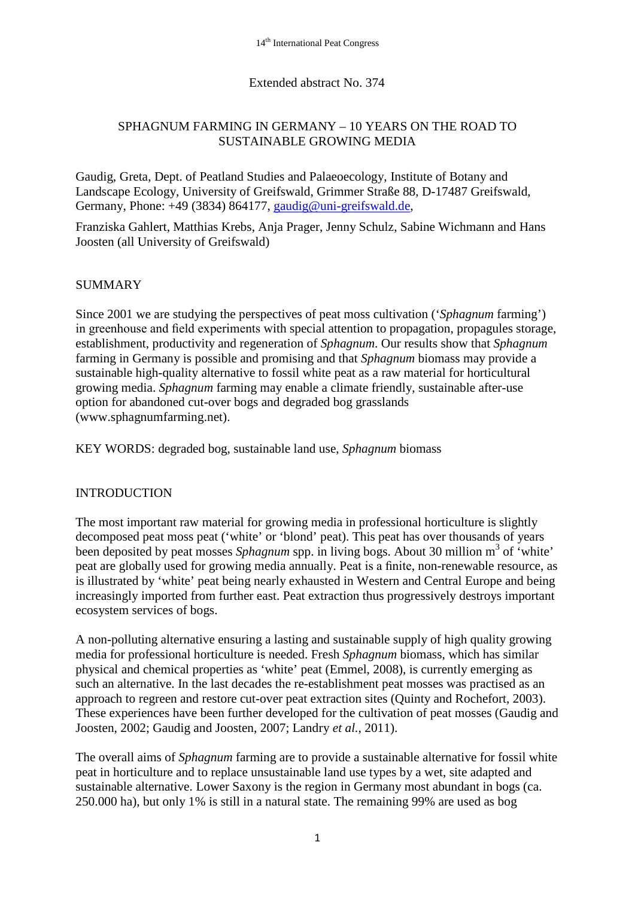### Extended abstract No. 374

### SPHAGNUM FARMING IN GERMANY – 10 YEARS ON THE ROAD TO SUSTAINABLE GROWING MEDIA

Gaudig, Greta, Dept. of Peatland Studies and Palaeoecology, Institute of Botany and Landscape Ecology, University of Greifswald, Grimmer Straße 88, D-17487 Greifswald, Germany, Phone: +49 (3834) 864177, [gaudig@uni-greifswald.de,](mailto:gaudig@uni-greifswald.de)

Franziska Gahlert, Matthias Krebs, Anja Prager, Jenny Schulz, Sabine Wichmann and Hans Joosten (all University of Greifswald)

### SUMMARY

Since 2001 we are studying the perspectives of peat moss cultivation ('*Sphagnum* farming') in greenhouse and field experiments with special attention to propagation, propagules storage, establishment, productivity and regeneration of *Sphagnum*. Our results show that *Sphagnum* farming in Germany is possible and promising and that *Sphagnum* biomass may provide a sustainable high-quality alternative to fossil white peat as a raw material for horticultural growing media. *Sphagnum* farming may enable a climate friendly, sustainable after-use option for abandoned cut-over bogs and degraded bog grasslands (www.sphagnumfarming.net).

KEY WORDS: degraded bog, sustainable land use, *Sphagnum* biomass

#### INTRODUCTION

The most important raw material for growing media in professional horticulture is slightly decomposed peat moss peat ('white' or 'blond' peat). This peat has over thousands of years been deposited by peat mosses *Sphagnum* spp. in living bogs. About 30 million m<sup>3</sup> of 'white' peat are globally used for growing media annually. Peat is a finite, non-renewable resource, as is illustrated by 'white' peat being nearly exhausted in Western and Central Europe and being increasingly imported from further east. Peat extraction thus progressively destroys important ecosystem services of bogs.

A non-polluting alternative ensuring a lasting and sustainable supply of high quality growing media for professional horticulture is needed. Fresh *Sphagnum* biomass, which has similar physical and chemical properties as 'white' peat (Emmel, 2008), is currently emerging as such an alternative. In the last decades the re-establishment peat mosses was practised as an approach to regreen and restore cut-over peat extraction sites (Quinty and Rochefort, 2003). These experiences have been further developed for the cultivation of peat mosses (Gaudig and Joosten, 2002; Gaudig and Joosten, 2007; Landry *et al.*, 2011).

The overall aims of *Sphagnum* farming are to provide a sustainable alternative for fossil white peat in horticulture and to replace unsustainable land use types by a wet, site adapted and sustainable alternative. Lower Saxony is the region in Germany most abundant in bogs (ca. 250.000 ha), but only 1% is still in a natural state. The remaining 99% are used as bog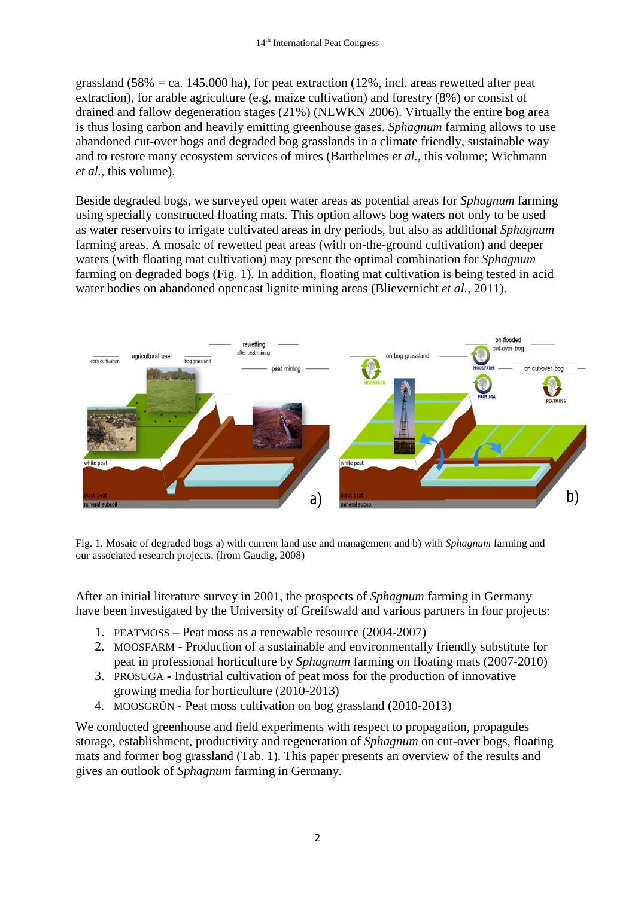grassland  $(58\% = \text{ca. } 145.000 \text{ ha})$ , for peat extraction  $(12\%, \text{incl. } \text{areas}$  rewetted after peat extraction), for arable agriculture (e.g. maize cultivation) and forestry (8%) or consist of drained and fallow degeneration stages (21%) (NLWKN 2006). Virtually the entire bog area is thus losing carbon and heavily emitting greenhouse gases. *Sphagnum* farming allows to use abandoned cut-over bogs and degraded bog grasslands in a climate friendly, sustainable way and to restore many ecosystem services of mires (Barthelmes *et al.*, this volume; Wichmann *et al.*, this volume).

Beside degraded bogs, we surveyed open water areas as potential areas for *Sphagnum* farming using specially constructed floating mats. This option allows bog waters not only to be used as water reservoirs to irrigate cultivated areas in dry periods, but also as additional *Sphagnum* farming areas. A mosaic of rewetted peat areas (with on-the-ground cultivation) and deeper waters (with floating mat cultivation) may present the optimal combination for *Sphagnum* farming on degraded bogs (Fig. 1). In addition, floating mat cultivation is being tested in acid water bodies on abandoned opencast lignite mining areas (Blievernicht *et al.*, 2011).



Fig. 1. Mosaic of degraded bogs a) with current land use and management and b) with *Sphagnum* farming and our associated research projects. (from Gaudig, 2008)

After an initial literature survey in 2001, the prospects of *Sphagnum* farming in Germany have been investigated by the University of Greifswald and various partners in four projects:

- 1. PEATMOSS Peat moss as a renewable resource (2004-2007)
- 2. MOOSFARM Production of a sustainable and environmentally friendly substitute for peat in professional horticulture by *Sphagnum* farming on floating mats (2007-2010)
- 3. PROSUGA Industrial cultivation of peat moss for the production of innovative growing media for horticulture (2010-2013)
- 4. MOOSGRÜN Peat moss cultivation on bog grassland (2010-2013)

We conducted greenhouse and field experiments with respect to propagation, propagules storage, establishment, productivity and regeneration of *Sphagnum* on cut-over bogs, floating mats and former bog grassland (Tab. 1). This paper presents an overview of the results and gives an outlook of *Sphagnum* farming in Germany.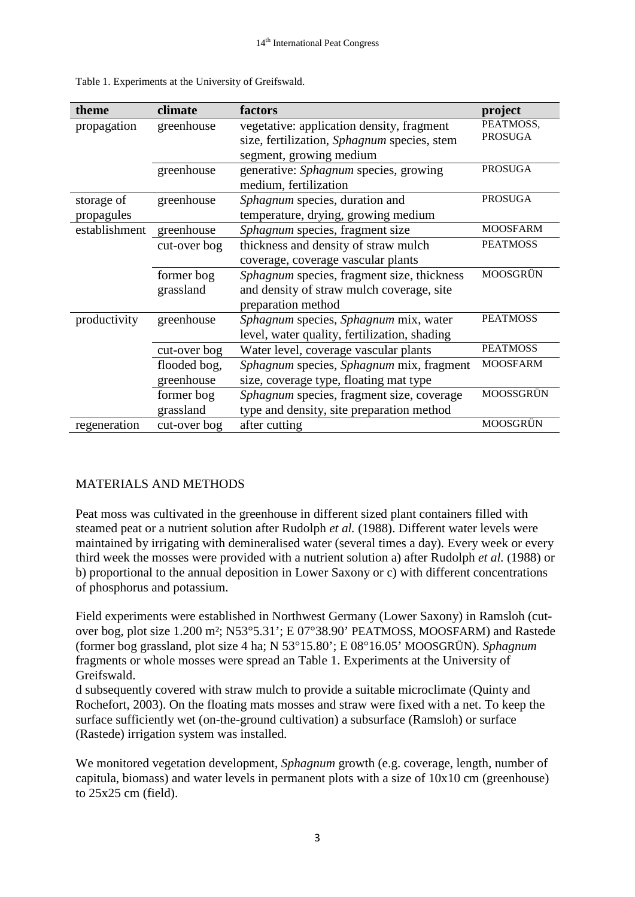| theme         | climate      | factors                                      | project         |
|---------------|--------------|----------------------------------------------|-----------------|
| propagation   | greenhouse   | vegetative: application density, fragment    | PEATMOSS,       |
|               |              | size, fertilization, Sphagnum species, stem  | <b>PROSUGA</b>  |
|               |              | segment, growing medium                      |                 |
|               | greenhouse   | generative: Sphagnum species, growing        | <b>PROSUGA</b>  |
|               |              | medium, fertilization                        |                 |
| storage of    | greenhouse   | Sphagnum species, duration and               | <b>PROSUGA</b>  |
| propagules    |              | temperature, drying, growing medium          |                 |
| establishment | greenhouse   | Sphagnum species, fragment size              | <b>MOOSFARM</b> |
|               | cut-over bog | thickness and density of straw mulch         | <b>PEATMOSS</b> |
|               |              | coverage, coverage vascular plants           |                 |
|               | former bog   | Sphagnum species, fragment size, thickness   | MOOSGRÜN        |
|               | grassland    | and density of straw mulch coverage, site    |                 |
|               |              | preparation method                           |                 |
| productivity  | greenhouse   | Sphagnum species, Sphagnum mix, water        | <b>PEATMOSS</b> |
|               |              | level, water quality, fertilization, shading |                 |
|               | cut-over bog | Water level, coverage vascular plants        | <b>PEATMOSS</b> |
|               | flooded bog, | Sphagnum species, Sphagnum mix, fragment     | <b>MOOSFARM</b> |
|               | greenhouse   | size, coverage type, floating mat type       |                 |
|               | former bog   | Sphagnum species, fragment size, coverage    | MOOSSGRÜN       |
|               | grassland    | type and density, site preparation method    |                 |
| regeneration  | cut-over bog | after cutting                                | MOOSGRÜN        |

Table 1. Experiments at the University of Greifswald.

#### MATERIALS AND METHODS

Peat moss was cultivated in the greenhouse in different sized plant containers filled with steamed peat or a nutrient solution after Rudolph *et al.* (1988). Different water levels were maintained by irrigating with demineralised water (several times a day). Every week or every third week the mosses were provided with a nutrient solution a) after Rudolph *et al.* (1988) or b) proportional to the annual deposition in Lower Saxony or c) with different concentrations of phosphorus and potassium.

Field experiments were established in Northwest Germany (Lower Saxony) in Ramsloh (cutover bog, plot size 1.200 m²; N53°5.31'; E 07°38.90' PEATMOSS, MOOSFARM) and Rastede (former bog grassland, plot size 4 ha; N 53°15.80'; E 08°16.05' MOOSGRÜN). *Sphagnum* fragments or whole mosses were spread an Table 1. Experiments at the University of Greifswald.

d subsequently covered with straw mulch to provide a suitable microclimate (Quinty and Rochefort, 2003). On the floating mats mosses and straw were fixed with a net. To keep the surface sufficiently wet (on-the-ground cultivation) a subsurface (Ramsloh) or surface (Rastede) irrigation system was installed.

We monitored vegetation development, *Sphagnum* growth (e.g. coverage, length, number of capitula, biomass) and water levels in permanent plots with a size of 10x10 cm (greenhouse) to 25x25 cm (field).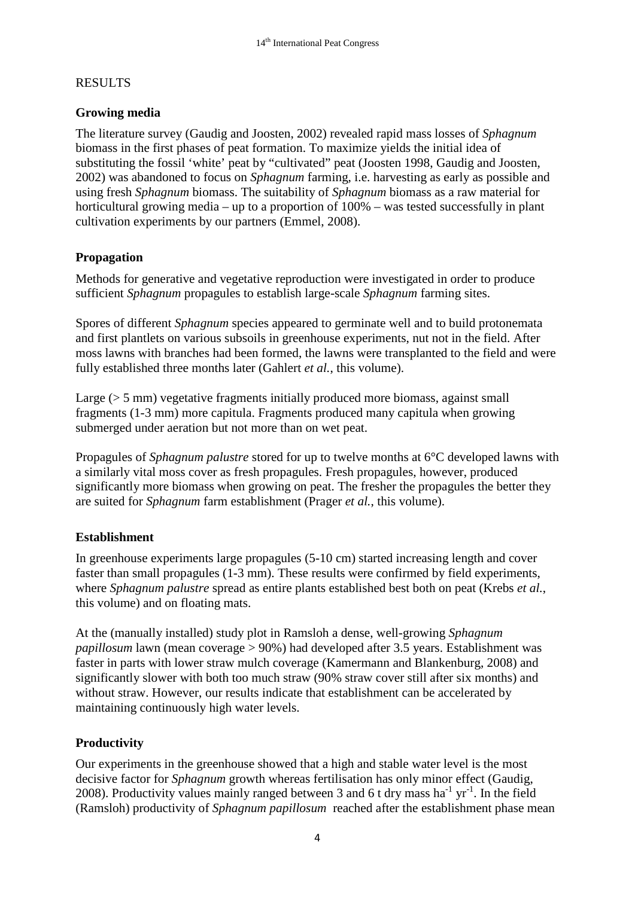## RESULTS

## **Growing media**

The literature survey (Gaudig and Joosten, 2002) revealed rapid mass losses of *Sphagnum* biomass in the first phases of peat formation. To maximize yields the initial idea of substituting the fossil 'white' peat by "cultivated" peat (Joosten 1998, Gaudig and Joosten, 2002) was abandoned to focus on *Sphagnum* farming, i.e. harvesting as early as possible and using fresh *Sphagnum* biomass. The suitability of *Sphagnum* biomass as a raw material for horticultural growing media – up to a proportion of 100% – was tested successfully in plant cultivation experiments by our partners (Emmel, 2008).

### **Propagation**

Methods for generative and vegetative reproduction were investigated in order to produce sufficient *Sphagnum* propagules to establish large-scale *Sphagnum* farming sites.

Spores of different *Sphagnum* species appeared to germinate well and to build protonemata and first plantlets on various subsoils in greenhouse experiments, nut not in the field. After moss lawns with branches had been formed, the lawns were transplanted to the field and were fully established three months later (Gahlert *et al.*, this volume).

Large ( $> 5$  mm) vegetative fragments initially produced more biomass, against small fragments (1-3 mm) more capitula. Fragments produced many capitula when growing submerged under aeration but not more than on wet peat.

Propagules of *Sphagnum palustre* stored for up to twelve months at 6°C developed lawns with a similarly vital moss cover as fresh propagules. Fresh propagules, however, produced significantly more biomass when growing on peat. The fresher the propagules the better they are suited for *Sphagnum* farm establishment (Prager *et al.*, this volume).

#### **Establishment**

In greenhouse experiments large propagules (5-10 cm) started increasing length and cover faster than small propagules (1-3 mm). These results were confirmed by field experiments, where *Sphagnum palustre* spread as entire plants established best both on peat (Krebs *et al.*, this volume) and on floating mats.

At the (manually installed) study plot in Ramsloh a dense, well-growing *Sphagnum papillosum* lawn (mean coverage > 90%) had developed after 3.5 years. Establishment was faster in parts with lower straw mulch coverage (Kamermann and Blankenburg, 2008) and significantly slower with both too much straw (90% straw cover still after six months) and without straw. However, our results indicate that establishment can be accelerated by maintaining continuously high water levels.

# **Productivity**

Our experiments in the greenhouse showed that a high and stable water level is the most decisive factor for *Sphagnum* growth whereas fertilisation has only minor effect (Gaudig, 2008). Productivity values mainly ranged between 3 and 6 t dry mass ha<sup>-1</sup> yr<sup>-1</sup>. In the field (Ramsloh) productivity of *Sphagnum papillosum* reached after the establishment phase mean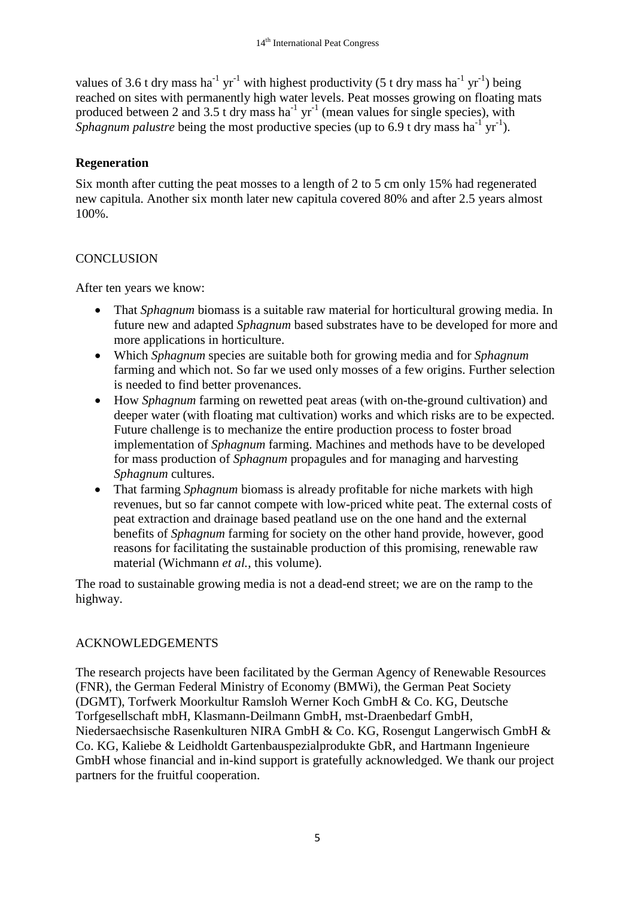values of 3.6 t dry mass ha<sup>-1</sup> yr<sup>-1</sup> with highest productivity (5 t dry mass ha<sup>-1</sup> yr<sup>-1</sup>) being reached on sites with permanently high water levels. Peat mosses growing on floating mats produced between 2 and 3.5 t dry mass ha<sup>-1</sup> yr<sup>-1</sup> (mean values for single species), with Sphagnum palustre being the most productive species (up to 6.9 t dry mass ha<sup>-1</sup> yr<sup>-1</sup>).

#### **Regeneration**

Six month after cutting the peat mosses to a length of 2 to 5 cm only 15% had regenerated new capitula. Another six month later new capitula covered 80% and after 2.5 years almost 100%.

### **CONCLUSION**

After ten years we know:

- That *Sphagnum* biomass is a suitable raw material for horticultural growing media. In future new and adapted *Sphagnum* based substrates have to be developed for more and more applications in horticulture.
- Which *Sphagnum* species are suitable both for growing media and for *Sphagnum* farming and which not. So far we used only mosses of a few origins. Further selection is needed to find better provenances.
- How *Sphagnum* farming on rewetted peat areas (with on-the-ground cultivation) and deeper water (with floating mat cultivation) works and which risks are to be expected. Future challenge is to mechanize the entire production process to foster broad implementation of *Sphagnum* farming. Machines and methods have to be developed for mass production of *Sphagnum* propagules and for managing and harvesting *Sphagnum* cultures.
- That farming *Sphagnum* biomass is already profitable for niche markets with high revenues, but so far cannot compete with low-priced white peat. The external costs of peat extraction and drainage based peatland use on the one hand and the external benefits of *Sphagnum* farming for society on the other hand provide, however, good reasons for facilitating the sustainable production of this promising, renewable raw material (Wichmann *et al.*, this volume).

The road to sustainable growing media is not a dead-end street; we are on the ramp to the highway.

#### ACKNOWLEDGEMENTS

The research projects have been facilitated by the German Agency of Renewable Resources (FNR), the German Federal Ministry of Economy (BMWi), the German Peat Society (DGMT), Torfwerk Moorkultur Ramsloh Werner Koch GmbH & Co. KG, Deutsche Torfgesellschaft mbH, Klasmann-Deilmann GmbH, mst-Draenbedarf GmbH, Niedersaechsische Rasenkulturen NIRA GmbH & Co. KG, Rosengut Langerwisch GmbH & Co. KG, Kaliebe & Leidholdt Gartenbauspezialprodukte GbR, and Hartmann Ingenieure GmbH whose financial and in-kind support is gratefully acknowledged. We thank our project partners for the fruitful cooperation.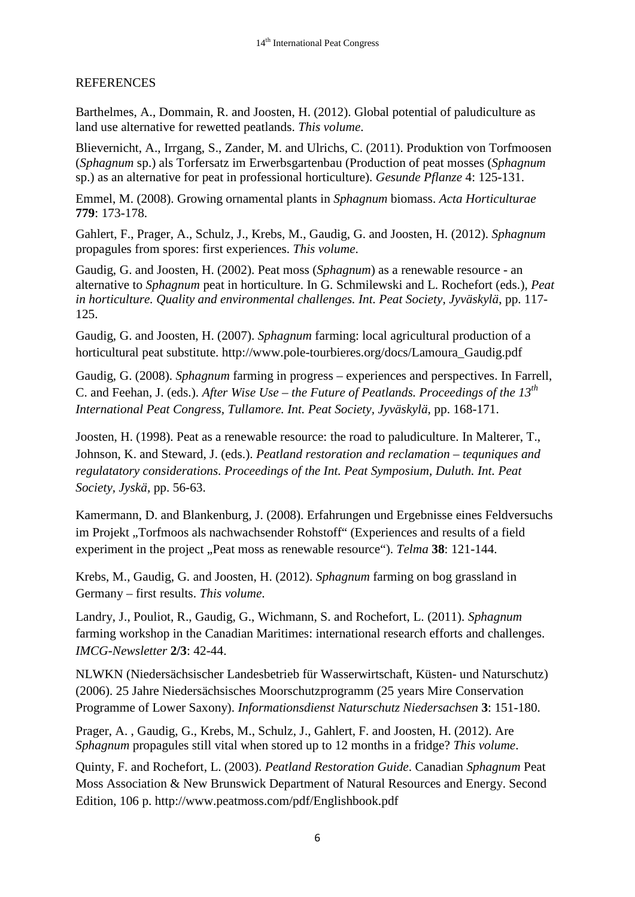#### **REFERENCES**

Barthelmes, A., Dommain, R. and Joosten, H. (2012). Global potential of paludiculture as land use alternative for rewetted peatlands. *This volume*.

Blievernicht, A., Irrgang, S., Zander, M. and Ulrichs, C. (2011). Produktion von Torfmoosen (*Sphagnum* sp.) als Torfersatz im Erwerbsgartenbau (Production of peat mosses (*Sphagnum* sp.) as an alternative for peat in professional horticulture). *Gesunde Pflanze* 4: 125-131.

Emmel, M. (2008). Growing ornamental plants in *Sphagnum* biomass. *Acta Horticulturae* **779**: 173-178.

Gahlert, F., Prager, A., Schulz, J., Krebs, M., Gaudig, G. and Joosten, H. (2012). *Sphagnum* propagules from spores: first experiences. *This volume*.

Gaudig, G. and Joosten, H. (2002). Peat moss (*Sphagnum*) as a renewable resource - an alternative to *Sphagnum* peat in horticulture. In G. Schmilewski and L. Rochefort (eds.), *Peat in horticulture. Quality and environmental challenges. Int. Peat Society, Jyväskylä*, pp. 117- 125.

Gaudig, G. and Joosten, H. (2007). *Sphagnum* farming: local agricultural production of a horticultural peat substitute. [http://www.pole-tourbieres.org/docs/Lamoura\\_Gaudig.pdf](http://www.pole-tourbieres.org/docs/Lamoura_Gaudig.pdf)

Gaudig, G. (2008). *Sphagnum* farming in progress – experiences and perspectives. In Farrell, C. and Feehan, J. (eds.). *After Wise Use – the Future of Peatlands. Proceedings of the 13th International Peat Congress, Tullamore. Int. Peat Society, Jyväskylä,* pp. 168-171.

Joosten, H. (1998). Peat as a renewable resource: the road to paludiculture. In Malterer, T., Johnson, K. and Steward, J. (eds.). *Peatland restoration and reclamation – tequniques and regulatatory considerations. Proceedings of the Int. Peat Symposium, Duluth. Int. Peat Society, Jyskä,* pp. 56-63.

Kamermann, D. and Blankenburg, J. (2008). Erfahrungen und Ergebnisse eines Feldversuchs im Projekt "Torfmoos als nachwachsender Rohstoff" (Experiences and results of a field experiment in the project "Peat moss as renewable resource"). *Telma* 38: 121-144.

Krebs, M., Gaudig, G. and Joosten, H. (2012). *Sphagnum* farming on bog grassland in Germany – first results. *This volume*.

Landry, J., Pouliot, R., Gaudig, G., Wichmann, S. and Rochefort, L. (2011). *Sphagnum* farming workshop in the Canadian Maritimes: international research efforts and challenges. *IMCG-Newsletter* **2/3**: 42-44.

NLWKN (Niedersächsischer Landesbetrieb für Wasserwirtschaft, Küsten- und Naturschutz) (2006). 25 Jahre Niedersächsisches Moorschutzprogramm (25 years Mire Conservation Programme of Lower Saxony). *Informationsdienst Naturschutz Niedersachsen* **3**: 151-180.

Prager, A. , Gaudig, G., Krebs, M., Schulz, J., Gahlert, F. and Joosten, H. (2012). Are *Sphagnum* propagules still vital when stored up to 12 months in a fridge? *This volume*.

Quinty, F. and Rochefort, L. (2003). *Peatland Restoration Guide*. Canadian *Sphagnum* Peat Moss Association & New Brunswick Department of Natural Resources and Energy. Second Edition, 106 p. http://www.peatmoss.com/pdf/Englishbook.pdf